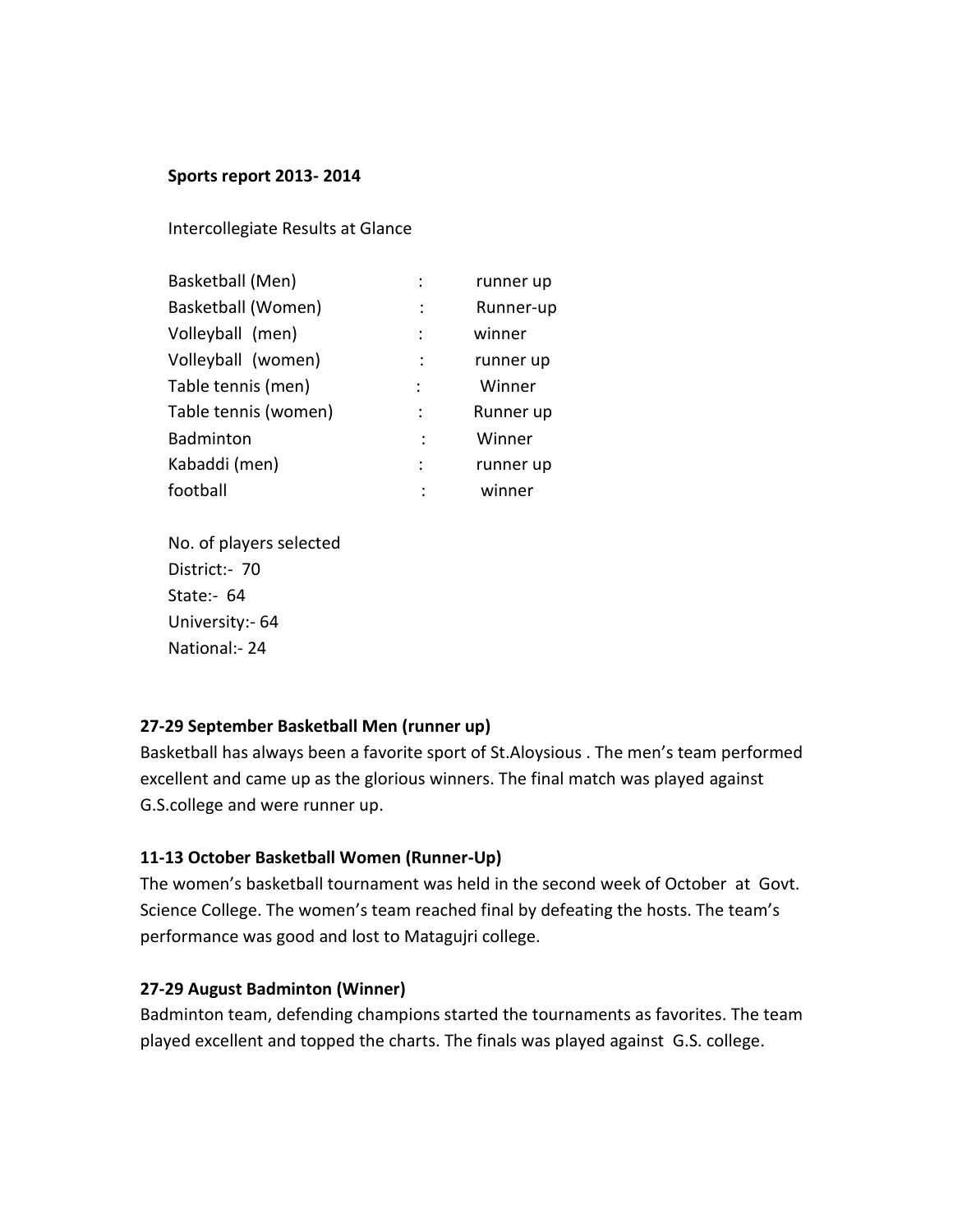#### **Sports report 2013- 2014**

Intercollegiate Results at Glance

| Basketball (Men)     |                | runner up |
|----------------------|----------------|-----------|
| Basketball (Women)   | :              | Runner-up |
| Volleyball (men)     |                | winner    |
| Volleyball (women)   | $\ddot{\cdot}$ | runner up |
| Table tennis (men)   |                | Winner    |
| Table tennis (women) |                | Runner up |
| Badminton            | :              | Winner    |
| Kabaddi (men)        | $\ddot{\cdot}$ | runner up |
| football             |                | winner    |

No. of players selected District:- 70 State:- 64 University:- 64 National:- 24

#### **27-29 September Basketball Men (runner up)**

Basketball has always been a favorite sport of St.Aloysious . The men's team performed excellent and came up as the glorious winners. The final match was played against G.S.college and were runner up.

#### **11-13 October Basketball Women (Runner-Up)**

The women's basketball tournament was held in the second week of October at Govt. Science College. The women's team reached final by defeating the hosts. The team's performance was good and lost to Matagujri college.

#### **27-29 August Badminton (Winner)**

Badminton team, defending champions started the tournaments as favorites. The team played excellent and topped the charts. The finals was played against G.S. college.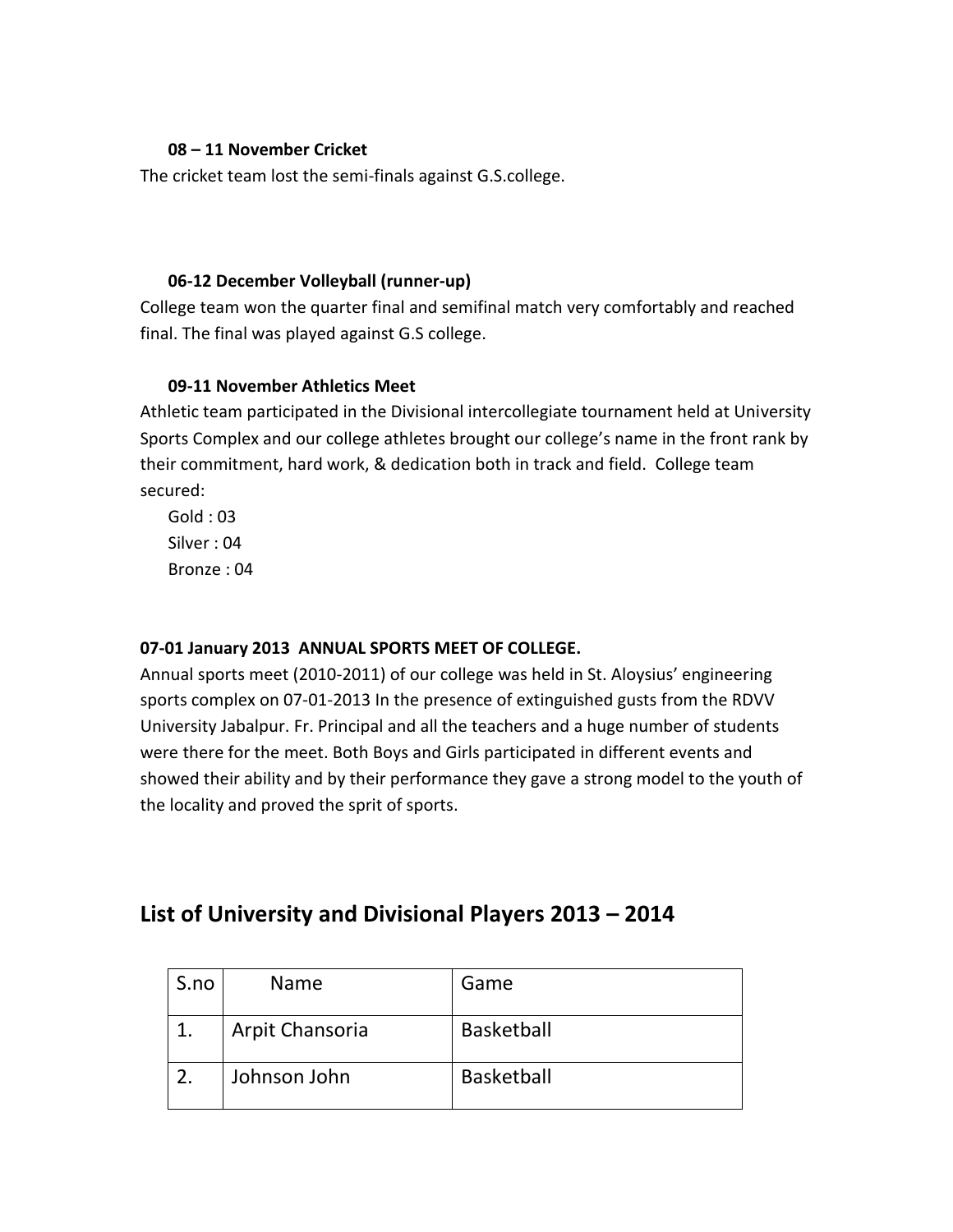#### **08 – 11 November Cricket**

The cricket team lost the semi-finals against G.S.college.

#### **06-12 December Volleyball (runner-up)**

College team won the quarter final and semifinal match very comfortably and reached final. The final was played against G.S college.

#### **09-11 November Athletics Meet**

Athletic team participated in the Divisional intercollegiate tournament held at University Sports Complex and our college athletes brought our college's name in the front rank by their commitment, hard work, & dedication both in track and field. College team secured:

Gold : 03 Silver : 04 Bronze : 04

#### **07-01 January 2013 ANNUAL SPORTS MEET OF COLLEGE.**

Annual sports meet (2010-2011) of our college was held in St. Aloysius' engineering sports complex on 07-01-2013 In the presence of extinguished gusts from the RDVV University Jabalpur. Fr. Principal and all the teachers and a huge number of students were there for the meet. Both Boys and Girls participated in different events and showed their ability and by their performance they gave a strong model to the youth of the locality and proved the sprit of sports.

### **List of University and Divisional Players 2013 – 2014**

| S.no | <b>Name</b>     | Game              |
|------|-----------------|-------------------|
|      | Arpit Chansoria | <b>Basketball</b> |
|      | Johnson John    | <b>Basketball</b> |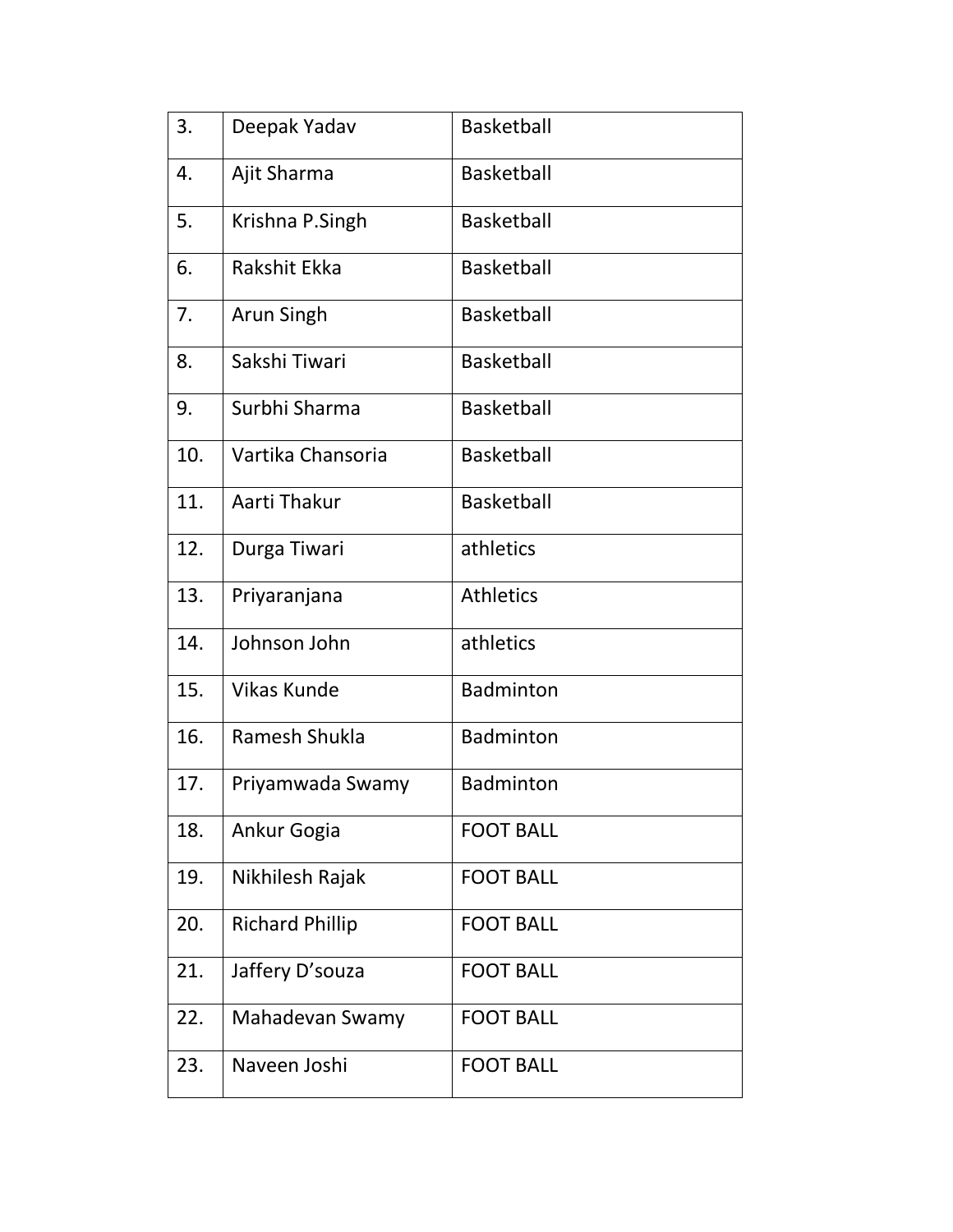| 3.  | Deepak Yadav           | <b>Basketball</b> |
|-----|------------------------|-------------------|
| 4.  | Ajit Sharma            | <b>Basketball</b> |
| 5.  | Krishna P.Singh        | <b>Basketball</b> |
| 6.  | Rakshit Ekka           | <b>Basketball</b> |
| 7.  | Arun Singh             | <b>Basketball</b> |
| 8.  | Sakshi Tiwari          | <b>Basketball</b> |
| 9.  | Surbhi Sharma          | <b>Basketball</b> |
| 10. | Vartika Chansoria      | <b>Basketball</b> |
| 11. | Aarti Thakur           | <b>Basketball</b> |
| 12. | Durga Tiwari           | athletics         |
| 13. | Priyaranjana           | <b>Athletics</b>  |
| 14. | Johnson John           | athletics         |
| 15. | Vikas Kunde            | <b>Badminton</b>  |
| 16. | Ramesh Shukla          | <b>Badminton</b>  |
| 17. | Priyamwada Swamy       | <b>Badminton</b>  |
| 18. | Ankur Gogia            | <b>FOOT BALL</b>  |
| 19. | Nikhilesh Rajak        | <b>FOOT BALL</b>  |
| 20. | <b>Richard Phillip</b> | <b>FOOT BALL</b>  |
| 21. | Jaffery D'souza        | <b>FOOT BALL</b>  |
| 22. | Mahadevan Swamy        | <b>FOOT BALL</b>  |
| 23. | Naveen Joshi           | <b>FOOT BALL</b>  |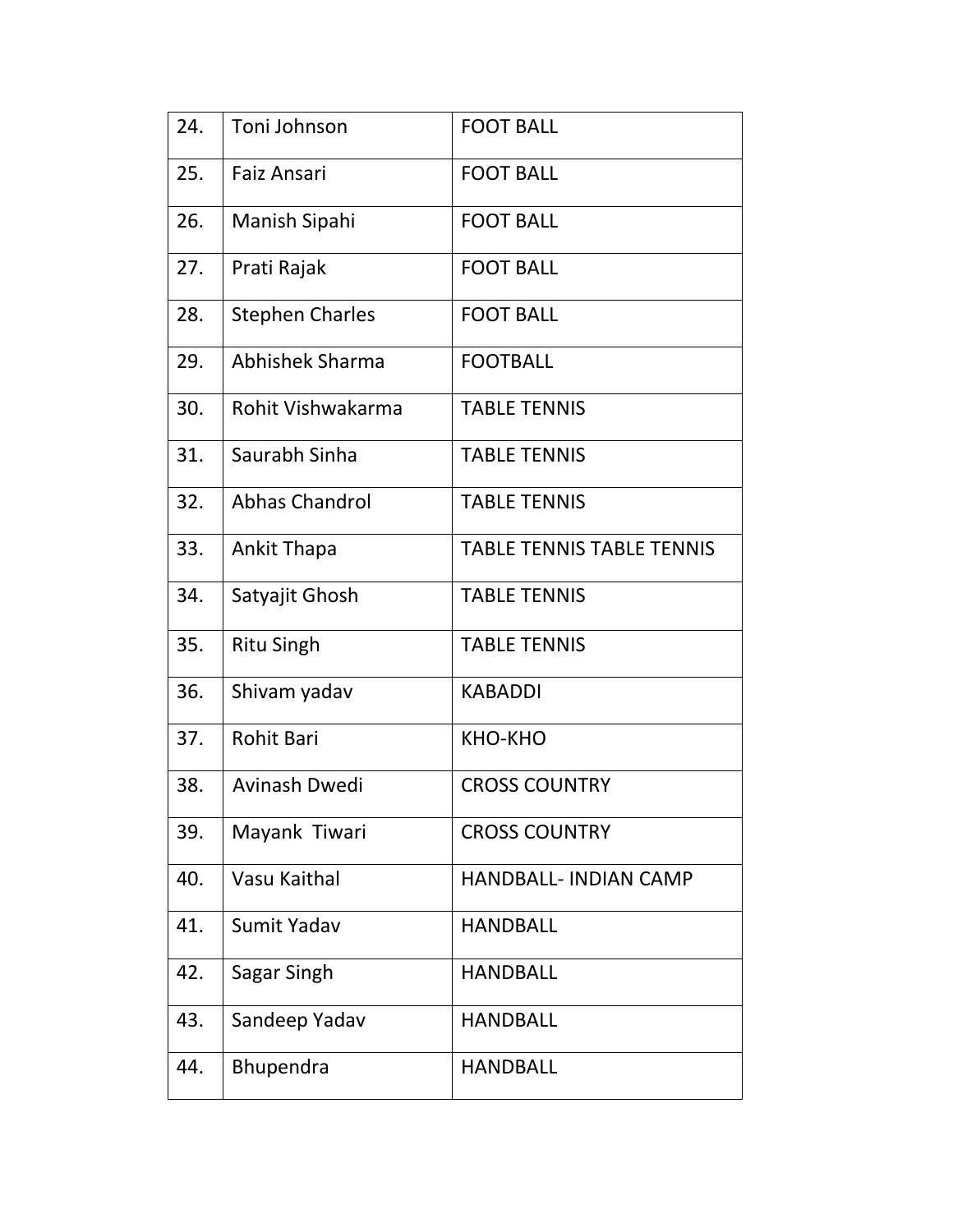| 24. | Toni Johnson           | <b>FOOT BALL</b>                 |
|-----|------------------------|----------------------------------|
| 25. | Faiz Ansari            | <b>FOOT BALL</b>                 |
| 26. | Manish Sipahi          | <b>FOOT BALL</b>                 |
| 27. | Prati Rajak            | <b>FOOT BALL</b>                 |
| 28. | <b>Stephen Charles</b> | <b>FOOT BALL</b>                 |
| 29. | <b>Abhishek Sharma</b> | <b>FOOTBALL</b>                  |
| 30. | Rohit Vishwakarma      | <b>TABLE TENNIS</b>              |
| 31. | Saurabh Sinha          | <b>TABLE TENNIS</b>              |
| 32. | Abhas Chandrol         | <b>TABLE TENNIS</b>              |
| 33. | <b>Ankit Thapa</b>     | <b>TABLE TENNIS TABLE TENNIS</b> |
| 34. | Satyajit Ghosh         | <b>TABLE TENNIS</b>              |
| 35. | <b>Ritu Singh</b>      | <b>TABLE TENNIS</b>              |
| 36. | Shivam yadav           | <b>KABADDI</b>                   |
| 37. | <b>Rohit Bari</b>      | <b>KHO-KHO</b>                   |
| 38. | Avinash Dwedi          | <b>CROSS COUNTRY</b>             |
| 39. | Mayank Tiwari          | <b>CROSS COUNTRY</b>             |
| 40. | Vasu Kaithal           | <b>HANDBALL-INDIAN CAMP</b>      |
| 41. | Sumit Yadav            | <b>HANDBALL</b>                  |
| 42. | Sagar Singh            | <b>HANDBALL</b>                  |
| 43. | Sandeep Yadav          | <b>HANDBALL</b>                  |
| 44. | Bhupendra              | <b>HANDBALL</b>                  |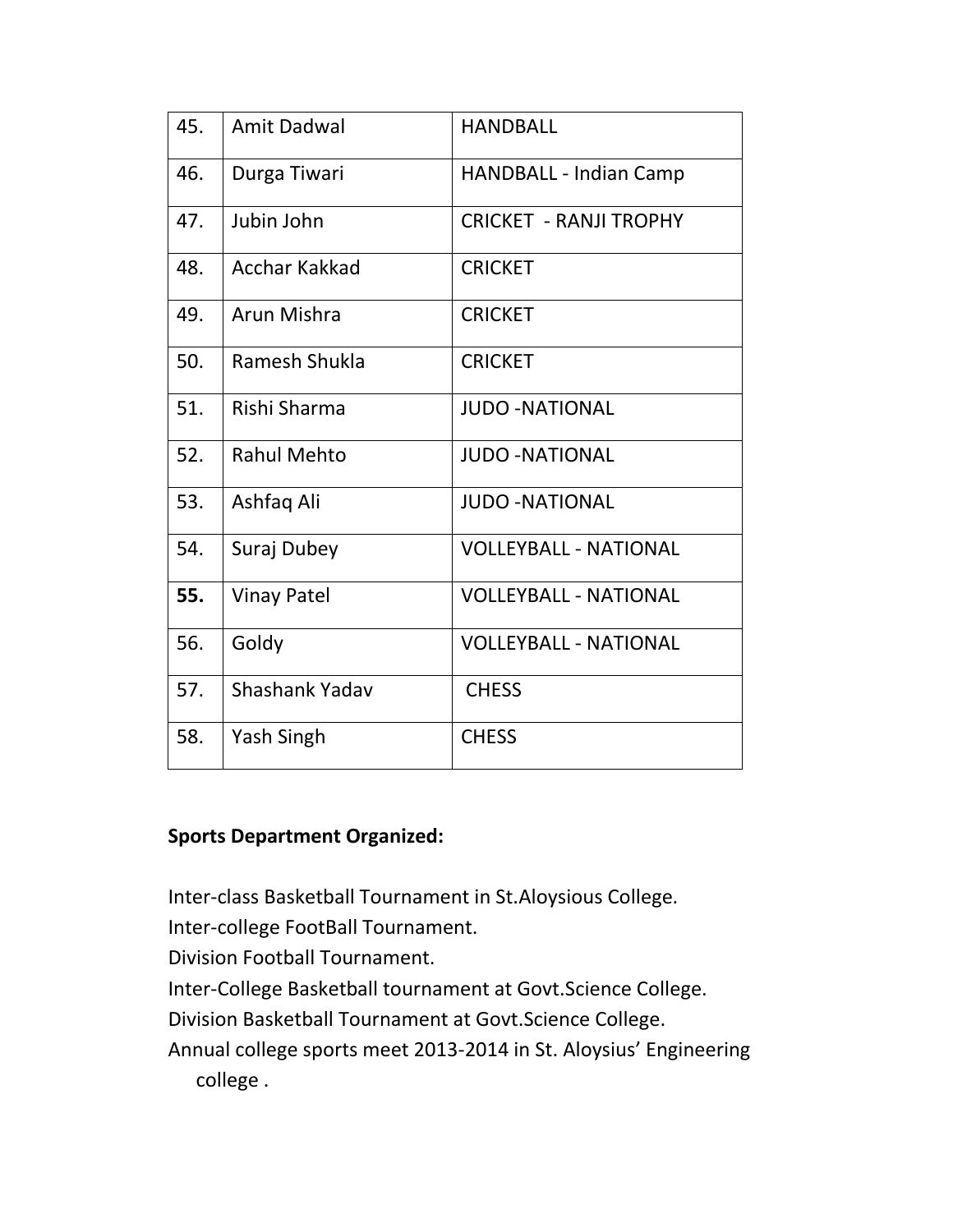| 45. | <b>Amit Dadwal</b> | <b>HANDBALL</b>               |
|-----|--------------------|-------------------------------|
| 46. | Durga Tiwari       | <b>HANDBALL - Indian Camp</b> |
| 47. | Jubin John         | <b>CRICKET - RANJI TROPHY</b> |
| 48. | Acchar Kakkad      | <b>CRICKET</b>                |
| 49. | Arun Mishra        | <b>CRICKET</b>                |
| 50. | Ramesh Shukla      | <b>CRICKET</b>                |
| 51. | Rishi Sharma       | <b>JUDO -NATIONAL</b>         |
| 52. | <b>Rahul Mehto</b> | <b>JUDO -NATIONAL</b>         |
| 53. | Ashfaq Ali         | <b>JUDO -NATIONAL</b>         |
| 54. | Suraj Dubey        | <b>VOLLEYBALL - NATIONAL</b>  |
| 55. | <b>Vinay Patel</b> | <b>VOLLEYBALL - NATIONAL</b>  |
| 56. | Goldy              | <b>VOLLEYBALL - NATIONAL</b>  |
| 57. | Shashank Yadav     | <b>CHESS</b>                  |
| 58. | <b>Yash Singh</b>  | <b>CHESS</b>                  |

### **Sports Department Organized:**

Inter-class Basketball Tournament in St.Aloysious College.

Inter-college FootBall Tournament.

Division Football Tournament.

Inter-College Basketball tournament at Govt.Science College.

Division Basketball Tournament at Govt.Science College.

Annual college sports meet 2013-2014 in St. Aloysius' Engineering college .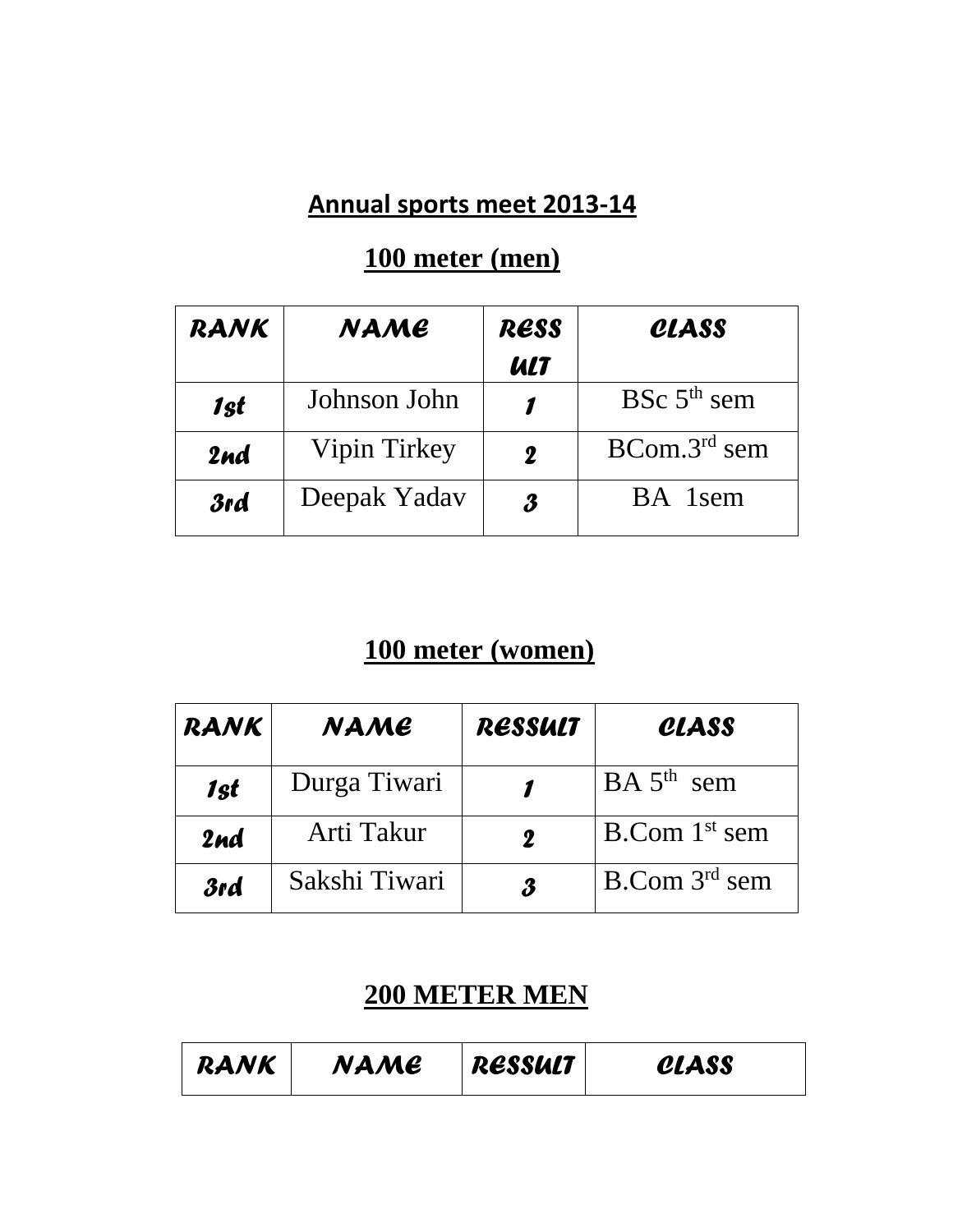### **Annual sports meet 2013-14**

## **100 meter (men)**

| <b>RANK</b> | NAME         | <b>RESS</b>      | <b>CLASS</b>                   |
|-------------|--------------|------------------|--------------------------------|
|             |              | ULT              |                                |
| 1st         | Johnson John |                  | $\rm{BSc}$ 5 <sup>th</sup> sem |
| 2nd         | Vipin Tirkey | $\boldsymbol{2}$ | $BCom.3rd$ sem                 |
| 3rd         | Deepak Yadav | 3                | BA 1sem                        |

## **100 meter (women)**

| <b>RANK</b> | NAME          | <b>RESSULT</b> | <b>CLASS</b>                        |
|-------------|---------------|----------------|-------------------------------------|
| 1st         | Durga Tiwari  |                | $BA 5th$ sem                        |
| 2nd         | Arti Takur    | 9              | $B_{\cdot}$ Com 1 <sup>st</sup> sem |
| 3rd         | Sakshi Tiwari |                | $B_{\cdot}$ Com 3 <sup>rd</sup> sem |

## **200 METER MEN**

| $R$ <i>Ressult</i><br><b>RANK</b><br><b>CLASS</b><br>NAME |  |
|-----------------------------------------------------------|--|
|-----------------------------------------------------------|--|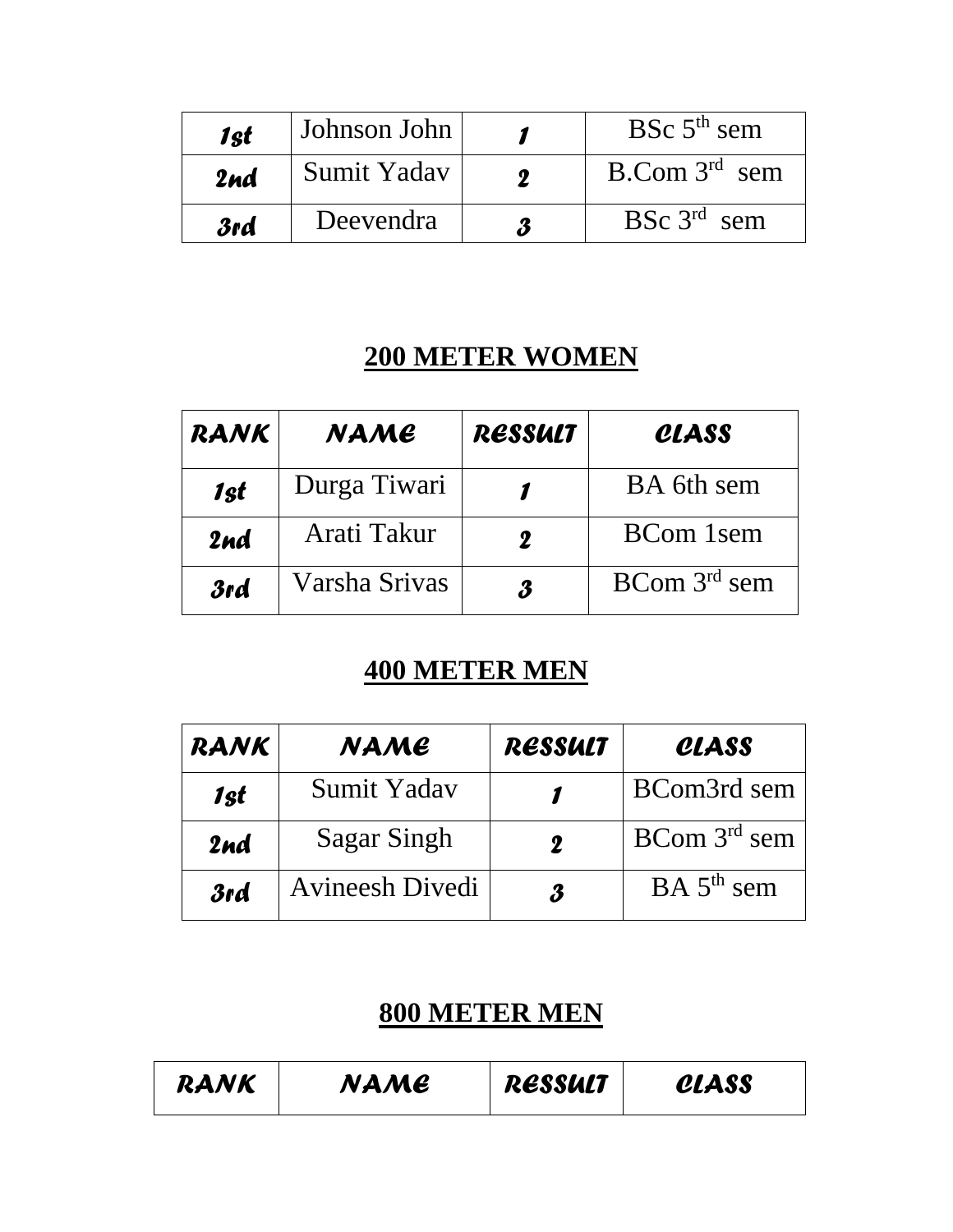| 1st | Johnson John | BSc $5th$ sem                       |
|-----|--------------|-------------------------------------|
| 2nd | Sumit Yadav  | $B_{\cdot}$ Com 3 <sup>rd</sup> sem |
| 3rd | Deevendra    | $\rm{BSc}$ 3 <sup>rd</sup> sem      |

# **200 METER WOMEN**

| RANK | NAME          | <b>RESSULT</b> | <b>CLASS</b>     |
|------|---------------|----------------|------------------|
| 1st  | Durga Tiwari  |                | BA 6th sem       |
| 2nd  | Arati Takur   | 9              | <b>BCom</b> 1sem |
| 3rd  | Varsha Srivas |                | $BCom 3rd$ sem   |

## **400 METER MEN**

| <b>RANK</b> | NAME                   | <b>RESSULT</b> | <b>CLASS</b>   |
|-------------|------------------------|----------------|----------------|
| 1st         | Sumit Yadav            |                | BCom3rd sem    |
| 2nd         | <b>Sagar Singh</b>     |                | $BCom 3rd$ sem |
| 3rd         | <b>Avineesh Divedi</b> |                | $BA 5th$ sem   |

## **800 METER MEN**

| RANK | NAME | RESSULT | <b>CLASS</b> |
|------|------|---------|--------------|
|      |      |         |              |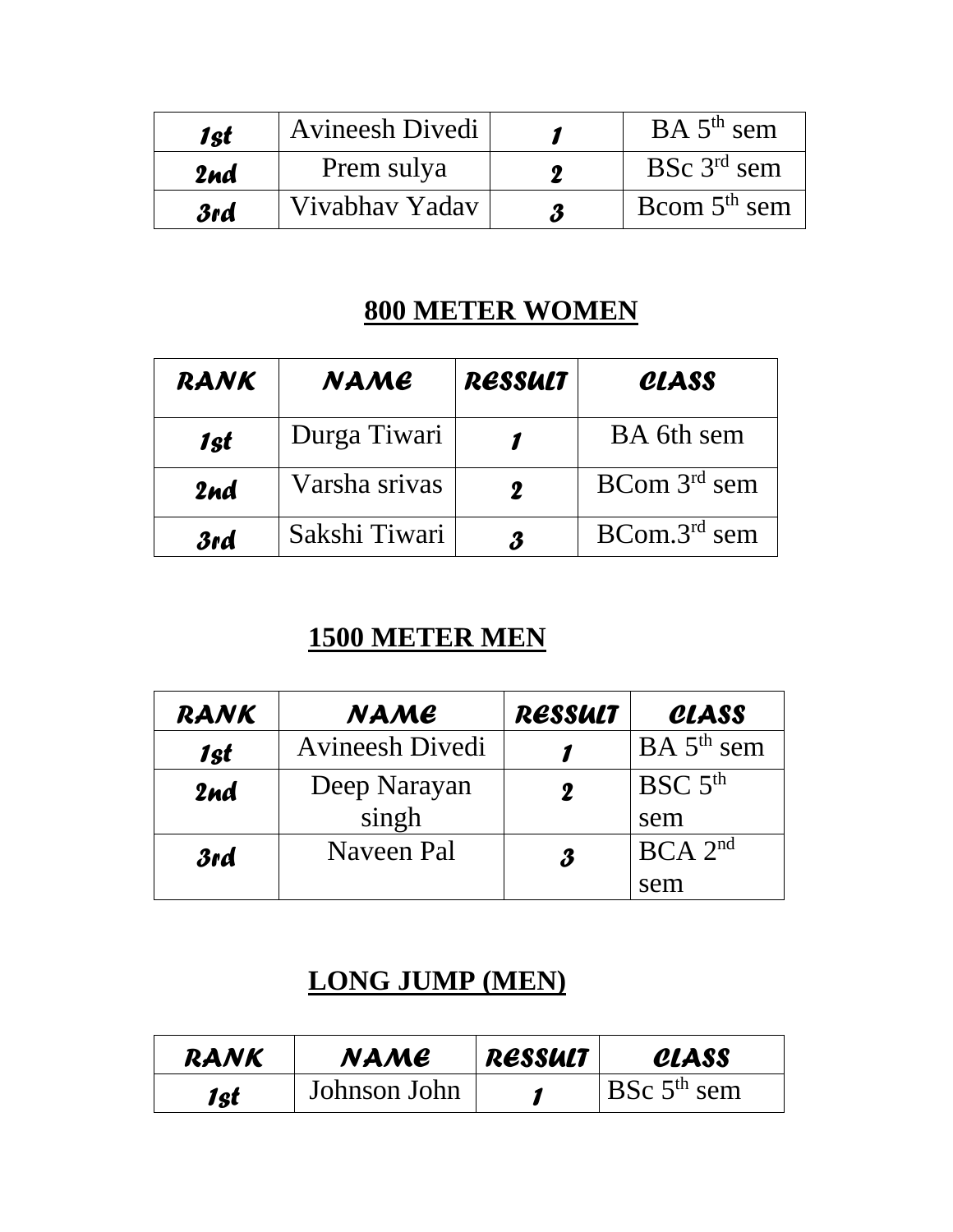| 1st | <b>Avineesh Divedi</b> | $BA 5th$ sem   |
|-----|------------------------|----------------|
| 2nd | Prem sulya             | BSc $3rd$ sem  |
| 3rd | Vivabhav Yadav         | Bcom $5th$ sem |

## **800 METER WOMEN**

| <b>RANK</b> | NAME          | <b>RESSULT</b> | <b>CLASS</b>   |
|-------------|---------------|----------------|----------------|
| 1st         | Durga Tiwari  |                | BA 6th sem     |
| 2nd         | Varsha srivas | 9              | $BCom 3rd$ sem |
| 3rd         | Sakshi Tiwari |                | $BCom.3rd$ sem |

## **1500 METER MEN**

| <b>RANK</b> | NAME                   | <b>RESSULT</b> | <b>CLASS</b>                          |
|-------------|------------------------|----------------|---------------------------------------|
| 1st         | <b>Avineesh Divedi</b> |                | $BA 5th$ sem                          |
| 2nd         | Deep Narayan           |                | ${}^{\mathsf{I}}$ BSC $5^{\text{th}}$ |
|             | singh                  |                | sem                                   |
| 3rd         | Naveen Pal             | 3              | $BCA$ 2 <sup>nd</sup>                 |
|             |                        |                | sem                                   |

# **LONG JUMP (MEN)**

| <b>RANK</b> | NAME         | RESSULT | <b>CLASS</b>  |
|-------------|--------------|---------|---------------|
| 1st         | Johnson John |         | BSc $5th$ sem |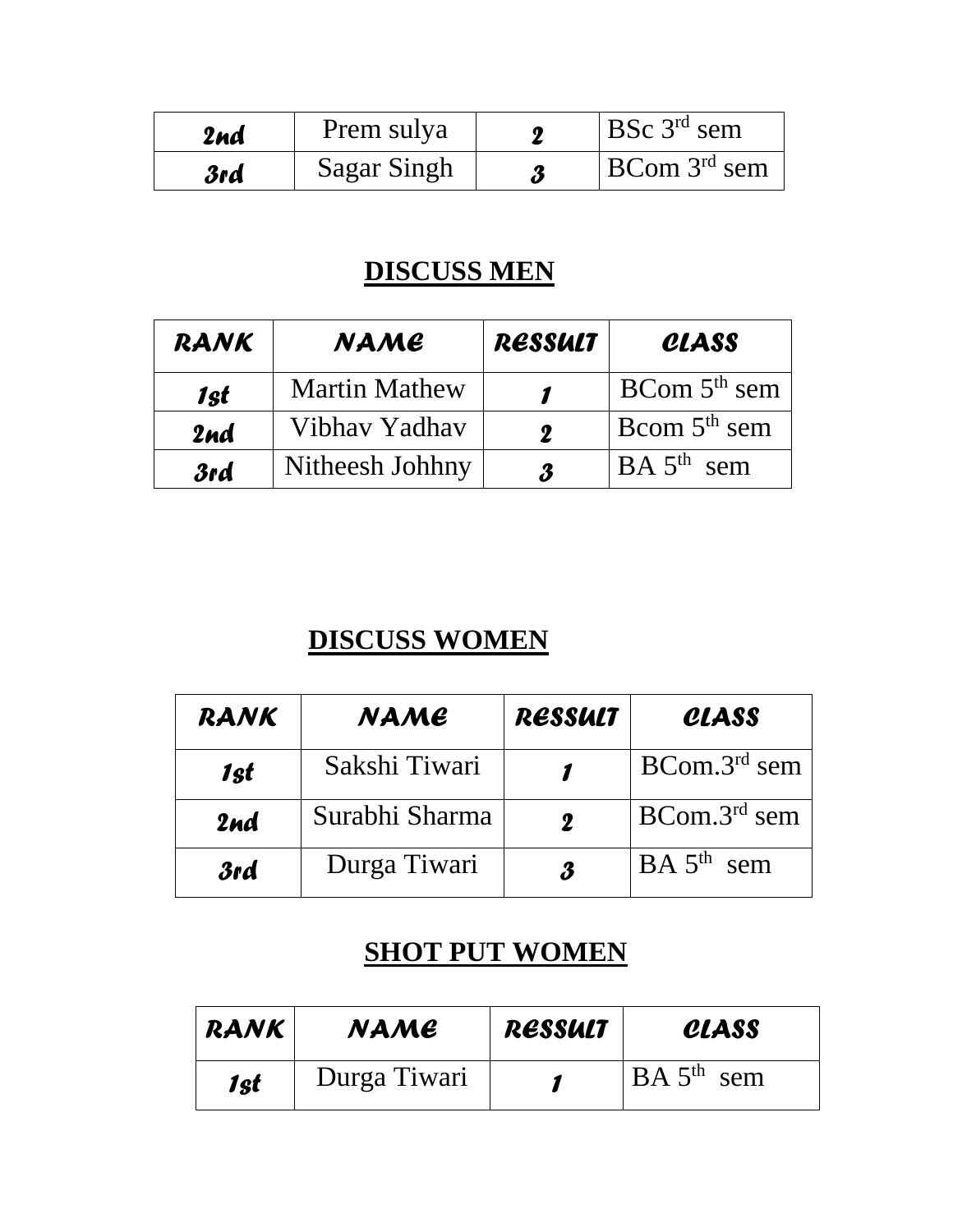| 2nd | Prem sulya         | $ BSc ^{3}$ sem                        |
|-----|--------------------|----------------------------------------|
| 3rd | <b>Sagar Singh</b> | $\overline{B}$ Com 3 <sup>rd</sup> sem |

# **DISCUSS MEN**

| <b>RANK</b> | NAME                 | <b>RESSULT</b> | <b>CLASS</b>                       |
|-------------|----------------------|----------------|------------------------------------|
| 1st         | <b>Martin Mathew</b> |                | $BCom 5th$ sem                     |
| 2nd         | Vibhay Yadhay        |                | $\vert$ Bcom 5 <sup>th</sup> sem   |
| 3rd         | Nitheesh Johhny      |                | $\rm{^1BA}$ 5 <sup>th</sup><br>sem |

# **DISCUSS WOMEN**

| <b>RANK</b> | NAME           | <b>RESSULT</b> | <b>CLASS</b>              |
|-------------|----------------|----------------|---------------------------|
| 1st         | Sakshi Tiwari  |                | $BCom.3rd$ sem            |
| 2nd         | Surabhi Sharma |                | $BCom.3rd$ sem            |
| 3rd         | Durga Tiwari   | <i>3</i>       | BA 5 <sup>th</sup><br>sem |

# **SHOT PUT WOMEN**

| RANK | NAME         | <b>RESSULT</b> | <b>CLASS</b> |
|------|--------------|----------------|--------------|
| 1st  | Durga Tiwari |                | $BA 5th$ sem |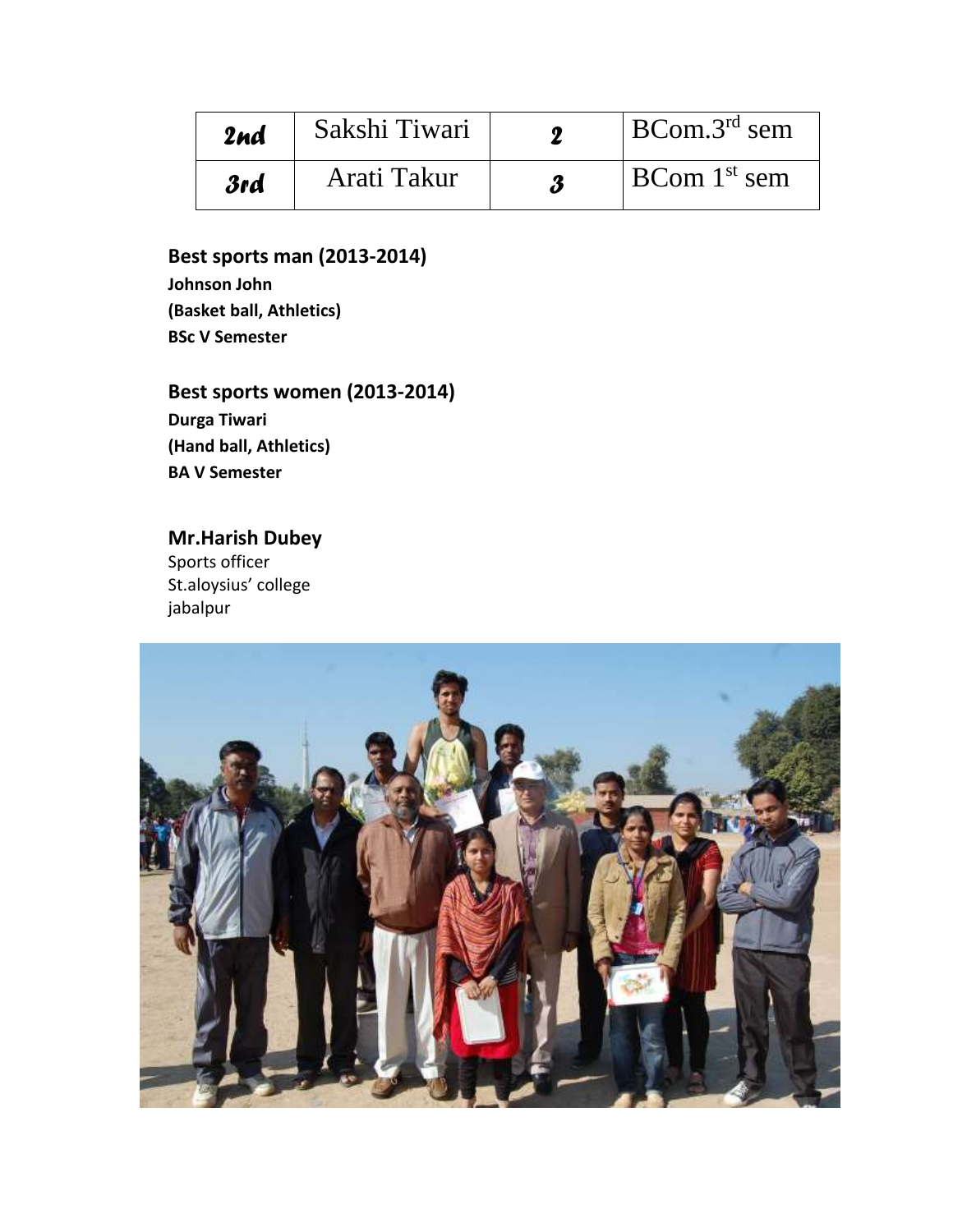| 2nd | Sakshi Tiwari | $\vert$ BCom.3 <sup>rd</sup> sem |
|-----|---------------|----------------------------------|
| 3rd | Arati Takur   | BCom 1 <sup>st</sup> sem         |

### **Best sports man (2013-2014)**

**Johnson John (Basket ball, Athletics) BSc V Semester**

### **Best sports women (2013-2014)**

**Durga Tiwari (Hand ball, Athletics) BA V Semester**

### **Mr.Harish Dubey**

Sports officer St.aloysius' college jabalpur

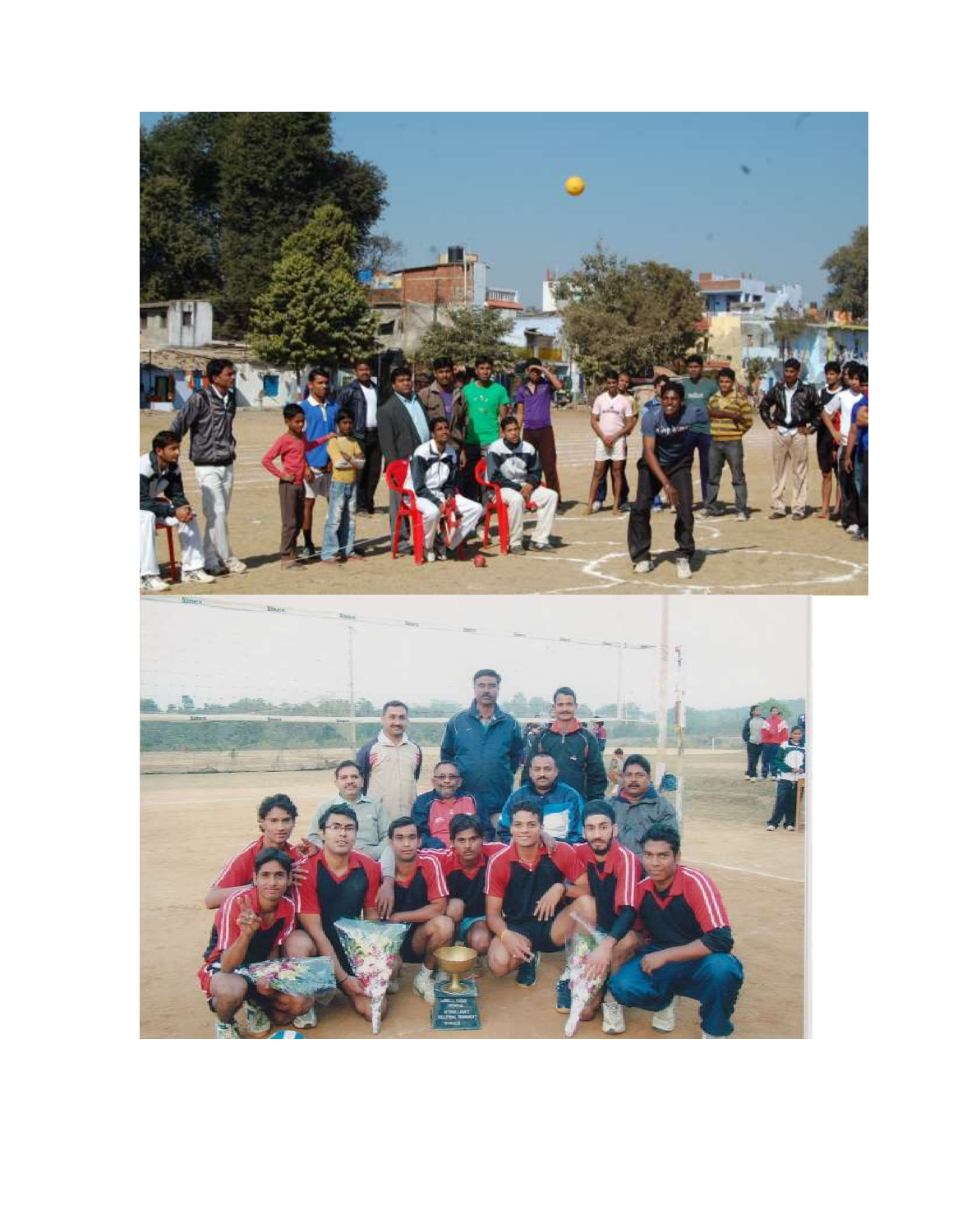